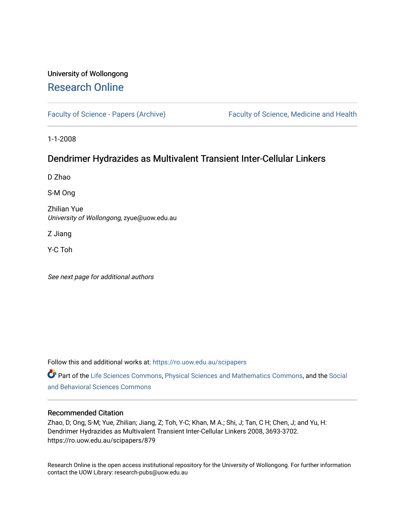# University of Wollongong [Research Online](https://ro.uow.edu.au/)

[Faculty of Science - Papers \(Archive\)](https://ro.uow.edu.au/scipapers) Faculty of Science, Medicine and Health

1-1-2008

# Dendrimer Hydrazides as Multivalent Transient Inter-Cellular Linkers

D Zhao

S-M Ong

Zhilian Yue University of Wollongong, zyue@uow.edu.au

Z Jiang

Y-C Toh

See next page for additional authors

Follow this and additional works at: [https://ro.uow.edu.au/scipapers](https://ro.uow.edu.au/scipapers?utm_source=ro.uow.edu.au%2Fscipapers%2F879&utm_medium=PDF&utm_campaign=PDFCoverPages)

Part of the [Life Sciences Commons,](http://network.bepress.com/hgg/discipline/1016?utm_source=ro.uow.edu.au%2Fscipapers%2F879&utm_medium=PDF&utm_campaign=PDFCoverPages) [Physical Sciences and Mathematics Commons,](http://network.bepress.com/hgg/discipline/114?utm_source=ro.uow.edu.au%2Fscipapers%2F879&utm_medium=PDF&utm_campaign=PDFCoverPages) and the Social [and Behavioral Sciences Commons](http://network.bepress.com/hgg/discipline/316?utm_source=ro.uow.edu.au%2Fscipapers%2F879&utm_medium=PDF&utm_campaign=PDFCoverPages) 

#### Recommended Citation

Zhao, D; Ong, S-M; Yue, Zhilian; Jiang, Z; Toh, Y-C; Khan, M A.; Shi, J; Tan, C H; Chen, J; and Yu, H: Dendrimer Hydrazides as Multivalent Transient Inter-Cellular Linkers 2008, 3693-3702. https://ro.uow.edu.au/scipapers/879

Research Online is the open access institutional repository for the University of Wollongong. For further information contact the UOW Library: research-pubs@uow.edu.au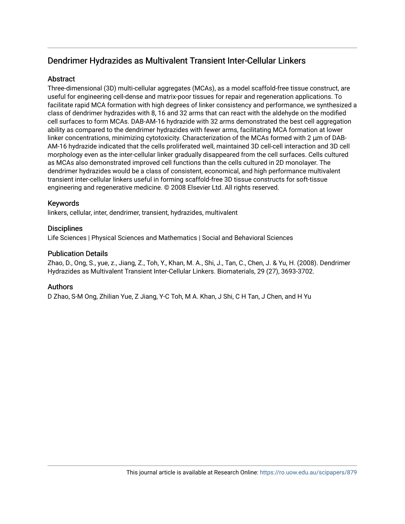# Dendrimer Hydrazides as Multivalent Transient Inter-Cellular Linkers

## **Abstract**

Three-dimensional (3D) multi-cellular aggregates (MCAs), as a model scaffold-free tissue construct, are useful for engineering cell-dense and matrix-poor tissues for repair and regeneration applications. To facilitate rapid MCA formation with high degrees of linker consistency and performance, we synthesized a class of dendrimer hydrazides with 8, 16 and 32 arms that can react with the aldehyde on the modified cell surfaces to form MCAs. DAB-AM-16 hydrazide with 32 arms demonstrated the best cell aggregation ability as compared to the dendrimer hydrazides with fewer arms, facilitating MCA formation at lower linker concentrations, minimizing cytotoxicity. Characterization of the MCAs formed with 2 μm of DAB-AM-16 hydrazide indicated that the cells proliferated well, maintained 3D cell-cell interaction and 3D cell morphology even as the inter-cellular linker gradually disappeared from the cell surfaces. Cells cultured as MCAs also demonstrated improved cell functions than the cells cultured in 2D monolayer. The dendrimer hydrazides would be a class of consistent, economical, and high performance multivalent transient inter-cellular linkers useful in forming scaffold-free 3D tissue constructs for soft-tissue engineering and regenerative medicine. © 2008 Elsevier Ltd. All rights reserved.

### Keywords

linkers, cellular, inter, dendrimer, transient, hydrazides, multivalent

### **Disciplines**

Life Sciences | Physical Sciences and Mathematics | Social and Behavioral Sciences

#### Publication Details

Zhao, D., Ong, S., yue, z., Jiang, Z., Toh, Y., Khan, M. A., Shi, J., Tan, C., Chen, J. & Yu, H. (2008). Dendrimer Hydrazides as Multivalent Transient Inter-Cellular Linkers. Biomaterials, 29 (27), 3693-3702.

#### Authors

D Zhao, S-M Ong, Zhilian Yue, Z Jiang, Y-C Toh, M A. Khan, J Shi, C H Tan, J Chen, and H Yu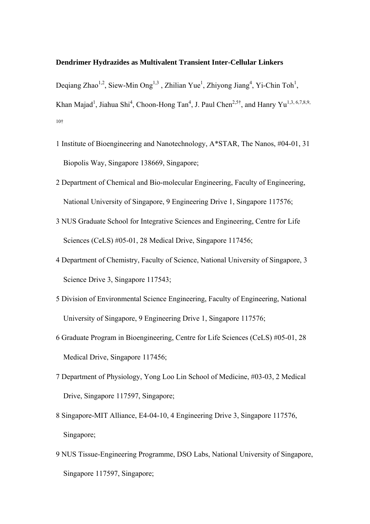#### **Dendrimer Hydrazides as Multivalent Transient Inter-Cellular Linkers**

Deqiang Zhao<sup>1,2</sup>, Siew-Min Ong<sup>1,3</sup>, Zhilian Yue<sup>1</sup>, Zhiyong Jiang<sup>4</sup>, Yi-Chin Toh<sup>1</sup>, Khan Majad<sup>1</sup>, Jiahua Shi<sup>4</sup>, Choon-Hong Tan<sup>4</sup>, J. Paul Chen<sup>2,5†</sup>, and Hanry Yu<sup>1,3, 6,7,8,9,</sup> 10†

- 1 Institute of Bioengineering and Nanotechnology, A\*STAR, The Nanos, #04-01, 31 Biopolis Way, Singapore 138669, Singapore;
- 2 Department of Chemical and Bio-molecular Engineering, Faculty of Engineering, National University of Singapore, 9 Engineering Drive 1, Singapore 117576;
- 3 NUS Graduate School for Integrative Sciences and Engineering, Centre for Life Sciences (CeLS) #05-01, 28 Medical Drive, Singapore 117456;
- 4 Department of Chemistry, Faculty of Science, National University of Singapore, 3 Science Drive 3, Singapore 117543;
- 5 Division of Environmental Science Engineering, Faculty of Engineering, National University of Singapore, 9 Engineering Drive 1, Singapore 117576;
- 6 Graduate Program in Bioengineering, Centre for Life Sciences (CeLS) #05-01, 28 Medical Drive, Singapore 117456;
- 7 Department of Physiology, Yong Loo Lin School of Medicine, #03-03, 2 Medical Drive, Singapore 117597, Singapore;
- 8 Singapore-MIT Alliance, E4-04-10, 4 Engineering Drive 3, Singapore 117576, Singapore;
- 9 NUS Tissue-Engineering Programme, DSO Labs, National University of Singapore, Singapore 117597, Singapore;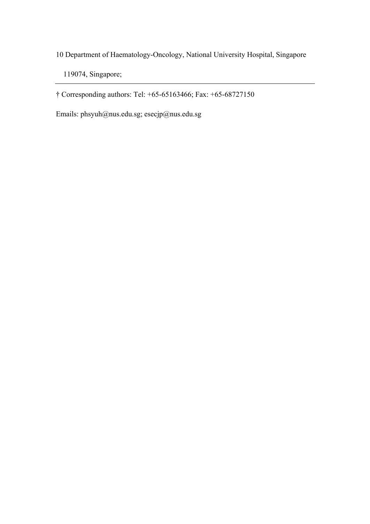10 Department of Haematology-Oncology, National University Hospital, Singapore

119074, Singapore;

† Corresponding authors: Tel: +65-65163466; Fax: +65-68727150

Emails: phsyuh@nus.edu.sg; [esecjp@nus.edu.sg](mailto:esecjp@nus.edu.sg)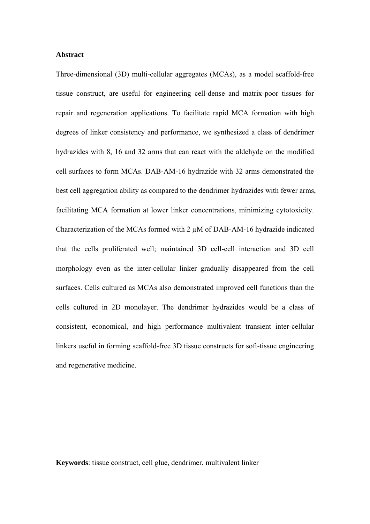#### **Abstract**

Three-dimensional (3D) multi-cellular aggregates (MCAs), as a model scaffold-free tissue construct, are useful for engineering cell-dense and matrix-poor tissues for repair and regeneration applications. To facilitate rapid MCA formation with high degrees of linker consistency and performance, we synthesized a class of dendrimer hydrazides with 8, 16 and 32 arms that can react with the aldehyde on the modified cell surfaces to form MCAs. DAB-AM-16 hydrazide with 32 arms demonstrated the best cell aggregation ability as compared to the dendrimer hydrazides with fewer arms, facilitating MCA formation at lower linker concentrations, minimizing cytotoxicity. Characterization of the MCAs formed with 2 µM of DAB-AM-16 hydrazide indicated that the cells proliferated well; maintained 3D cell-cell interaction and 3D cell morphology even as the inter-cellular linker gradually disappeared from the cell surfaces. Cells cultured as MCAs also demonstrated improved cell functions than the cells cultured in 2D monolayer. The dendrimer hydrazides would be a class of consistent, economical, and high performance multivalent transient inter-cellular linkers useful in forming scaffold-free 3D tissue constructs for soft-tissue engineering and regenerative medicine.

**Keywords**: tissue construct, cell glue, dendrimer, multivalent linker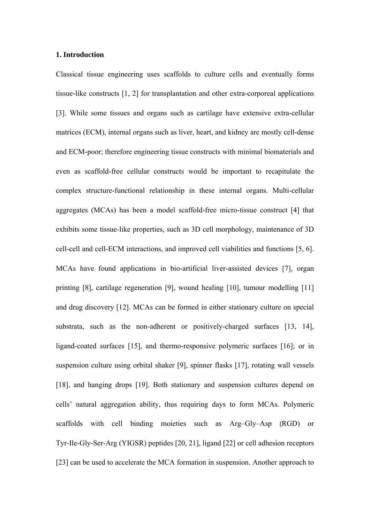#### **1. Introduction**

Classical tissue engineering uses scaffolds to culture cells and eventually forms tissue-like constructs [1, 2] for transplantation and other extra-corporeal applications [3]. While some tissues and organs such as cartilage have extensive extra-cellular matrices (ECM), internal organs such as liver, heart, and kidney are mostly cell-dense and ECM-poor; therefore engineering tissue constructs with minimal biomaterials and even as scaffold-free cellular constructs would be important to recapitulate the complex structure-functional relationship in these internal organs. Multi-cellular aggregates (MCAs) has been a model scaffold-free micro-tissue construct [4] that exhibits some tissue-like properties, such as 3D cell morphology, maintenance of 3D cell-cell and cell-ECM interactions, and improved cell viabilities and functions [5, 6]. MCAs have found applications in bio-artificial liver-assisted devices [7], organ printing [8], cartilage regeneration [9], wound healing [10], tumour modelling [11] and drug discovery [12]. MCAs can be formed in either stationary culture on special substrata, such as the non-adherent or positively-charged surfaces [13, 14], ligand-coated surfaces [15], and thermo-responsive polymeric surfaces [16]; or in suspension culture using orbital shaker [9], spinner flasks [17], rotating wall vessels [18], and hanging drops [19]. Both stationary and suspension cultures depend on cells' natural aggregation ability, thus requiring days to form MCAs. Polymeric scaffolds with cell binding moieties such as Arg–Gly–Asp (RGD) or Tyr-Ile-Gly-Ser-Arg (YIGSR) peptides [20, 21], ligand [22] or cell adhesion receptors [23] can be used to accelerate the MCA formation in suspension. Another approach to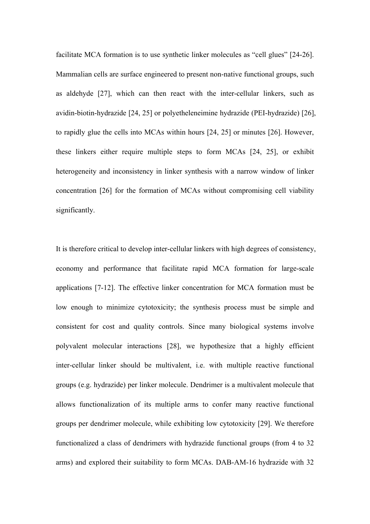facilitate MCA formation is to use synthetic linker molecules as "cell glues" [24-26]. Mammalian cells are surface engineered to present non-native functional groups, such as aldehyde [27], which can then react with the inter-cellular linkers, such as avidin-biotin-hydrazide [24, 25] or polyetheleneimine hydrazide (PEI-hydrazide) [26], to rapidly glue the cells into MCAs within hours [24, 25] or minutes [26]. However, these linkers either require multiple steps to form MCAs [24, 25], or exhibit heterogeneity and inconsistency in linker synthesis with a narrow window of linker concentration [26] for the formation of MCAs without compromising cell viability significantly.

It is therefore critical to develop inter-cellular linkers with high degrees of consistency, economy and performance that facilitate rapid MCA formation for large-scale applications [7-12]. The effective linker concentration for MCA formation must be low enough to minimize cytotoxicity; the synthesis process must be simple and consistent for cost and quality controls. Since many biological systems involve polyvalent molecular interactions [28], we hypothesize that a highly efficient inter-cellular linker should be multivalent, i.e. with multiple reactive functional groups (e.g. hydrazide) per linker molecule. Dendrimer is a multivalent molecule that allows functionalization of its multiple arms to confer many reactive functional groups per dendrimer molecule, while exhibiting low cytotoxicity [29]. We therefore functionalized a class of dendrimers with hydrazide functional groups (from 4 to 32 arms) and explored their suitability to form MCAs. DAB-AM-16 hydrazide with 32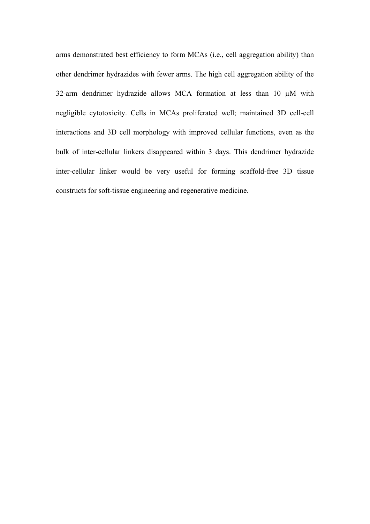arms demonstrated best efficiency to form MCAs (i.e., cell aggregation ability) than other dendrimer hydrazides with fewer arms. The high cell aggregation ability of the 32-arm dendrimer hydrazide allows MCA formation at less than 10 µM with negligible cytotoxicity. Cells in MCAs proliferated well; maintained 3D cell-cell interactions and 3D cell morphology with improved cellular functions, even as the bulk of inter-cellular linkers disappeared within 3 days. This dendrimer hydrazide inter-cellular linker would be very useful for forming scaffold-free 3D tissue constructs for soft-tissue engineering and regenerative medicine.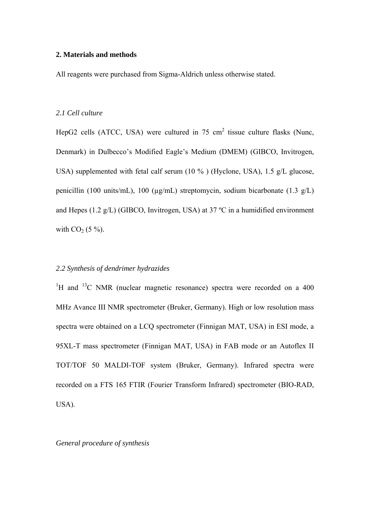#### **2. Materials and methods**

All reagents were purchased from Sigma-Aldrich unless otherwise stated.

#### *2.1 Cell culture*

HepG2 cells (ATCC, USA) were cultured in 75 cm<sup>2</sup> tissue culture flasks (Nunc, Denmark) in Dulbecco's Modified Eagle's Medium (DMEM) (GIBCO, Invitrogen, USA) supplemented with fetal calf serum (10 % ) (Hyclone, USA), 1.5 g/L glucose, penicillin (100 units/mL), 100 (µg/mL) streptomycin, sodium bicarbonate (1.3 g/L) and Hepes (1.2 g/L) (GIBCO, Invitrogen, USA) at 37  $^{\circ}$ C in a humidified environment with  $CO<sub>2</sub>$  (5 %).

#### *2.2 Synthesis of dendrimer hydrazides*

<sup>1</sup>H and <sup>13</sup>C NMR (nuclear magnetic resonance) spectra were recorded on a 400 MHz [Avance III NMR](http://www.bruker-biospin.com/avanceiii.html) spectrometer (Bruker, Germany). High or low resolution mass spectra were obtained on a LCQ spectrometer (Finnigan MAT, USA) in ESI mode, a 95XL-T mass spectrometer (Finnigan MAT, USA) in FAB mode or an Autoflex II TOT/TOF 50 MALDI-TOF system (Bruker, Germany). Infrared spectra were recorded on a FTS 165 FTIR (Fourier Transform Infrared) spectrometer (BIO-RAD, USA).

*General procedure of synthesis*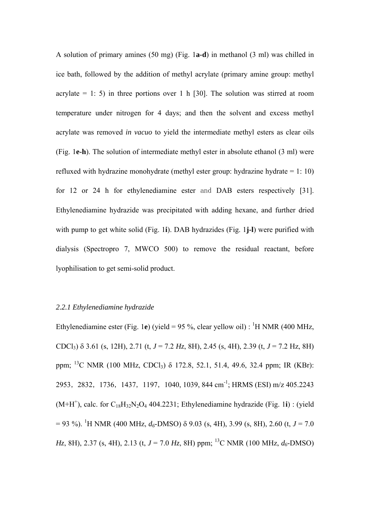A solution of primary amines (50 mg) (Fig. 1**a-d**) in methanol (3 ml) was chilled in ice bath, followed by the addition of methyl acrylate (primary amine group: methyl acrylate  $= 1: 5$ ) in three portions over 1 h [30]. The solution was stirred at room temperature under nitrogen for 4 days; and then the solvent and excess methyl acrylate was removed *in vacuo* to yield the intermediate methyl esters as clear oils (Fig. 1**e-h**). The solution of intermediate methyl ester in absolute ethanol (3 ml) were refluxed with hydrazine monohydrate (methyl ester group: hydrazine hydrate = 1: 10) for 12 or 24 h for ethylenediamine ester and DAB esters respectively [31]. Ethylenediamine hydrazide was precipitated with adding hexane, and further dried with pump to get white solid (Fig. 1**i**). DAB hydrazides (Fig. 1**j-l**) were purified with dialysis (Spectropro 7, MWCO 500) to remove the residual reactant, before lyophilisation to get semi-solid product.

## *2.2.1 Ethylenediamine hydrazide*

Ethylenediamine ester (Fig. 1e) (yield = 95 %, clear yellow oil): <sup>1</sup>H NMR (400 MHz, CDCl3) δ 3.61 (s, 12H), 2.71 (t, *J* = 7.2 *Hz*, 8H), 2.45 (s, 4H), 2.39 (t, *J* = 7.2 Hz, 8H) ppm; <sup>13</sup>C NMR (100 MHz, CDCl<sub>3</sub>) δ 172.8, 52.1, 51.4, 49.6, 32.4 ppm; IR (KBr); 2953, 2832, 1736, 1437, 1197, 1040, 1039, 844 cm<sup>-1</sup>; HRMS (ESI) m/z 405.2243  $(M+H<sup>+</sup>)$ , calc. for  $C_{18}H_{32}N_2O_4$  404.2231; Ethylenediamine hydrazide (Fig. 1**i**) : (yield  $= 93$  %). <sup>1</sup>H NMR (400 MHz, *d*<sub>6</sub>-DMSO)  $\delta$  9.03 (s, 4H), 3.99 (s, 8H), 2.60 (t, *J* = 7.0 *Hz*, 8H), 2.37 (s, 4H), 2.13 (t,  $J = 7.0$  *Hz*, 8H) ppm; <sup>13</sup>C NMR (100 MHz,  $d_6$ -DMSO)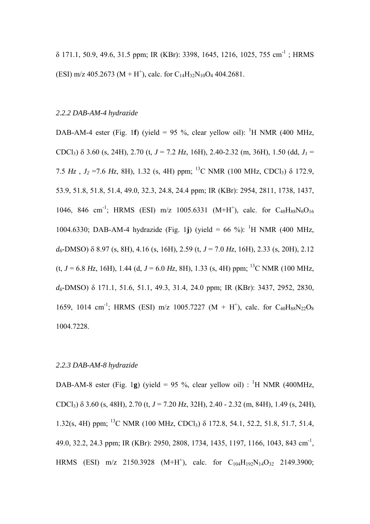δ 171.1, 50.9, 49.6, 31.5 ppm; IR (KBr): 3398, 1645, 1216, 1025, 755 cm-1 ; HRMS (ESI) m/z 405.2673 (M + H<sup>+</sup>), calc. for C<sub>14</sub>H<sub>32</sub>N<sub>10</sub>O<sub>4</sub> 404.2681.

# *2.2.2 DAB-AM-4 hydrazide*

DAB-AM-4 ester (Fig. 1f) (yield = 95 %, clear yellow oil): <sup>1</sup>H NMR (400 MHz, CDCl<sub>3</sub>)  $\delta$  3.60 (s, 24H), 2.70 (t,  $J = 7.2$  Hz, 16H), 2.40-2.32 (m, 36H), 1.50 (dd,  $J_1 =$ 7.5  $Hz$ ,  $J_2$  =7.6  $Hz$ , 8H), 1.32 (s, 4H) ppm; <sup>13</sup>C NMR (100 MHz, CDCl<sub>3</sub>)  $\delta$  172.9, 53.9, 51.8, 51.8, 51.4, 49.0, 32.3, 24.8, 24.4 ppm; IR (KBr): 2954, 2811, 1738, 1437, 1046, 846 cm<sup>-1</sup>; HRMS (ESI) m/z 1005.6331 (M+H<sup>+</sup>), calc. for C<sub>48</sub>H<sub>88</sub>N<sub>6</sub>O<sub>16</sub> 1004.6330; DAB-AM-4 hydrazide (Fig. 1**j**) (yield = 66 %): <sup>1</sup>H NMR (400 MHz, *d6*-DMSO) δ 8.97 (s, 8H), 4.16 (s, 16H), 2.59 (t, *J* = 7.0 *Hz*, 16H), 2.33 (s, 20H), 2.12 (t,  $J = 6.8$  *Hz*, 16H), 1.44 (d,  $J = 6.0$  *Hz*, 8H), 1.33 (s, 4H) ppm; <sup>13</sup>C NMR (100 MHz, *d6*-DMSO) δ 171.1, 51.6, 51.1, 49.3, 31.4, 24.0 ppm; IR (KBr): 3437, 2952, 2830, 1659, 1014 cm<sup>-1</sup>; HRMS (ESI) m/z 1005.7227 (M + H<sup>+</sup>), calc. for C<sub>40</sub>H<sub>88</sub>N<sub>22</sub>O<sub>8</sub> 1004.7228.

## *2.2.3 DAB-AM-8 hydrazide*

DAB-AM-8 ester (Fig. 1g) (yield = 95 %, clear yellow oil) : <sup>1</sup>H NMR (400MHz, CDCl3) δ 3.60 (s, 48H), 2.70 (t, *J* = 7.20 *Hz*, 32H), 2.40 - 2.32 (m, 84H), 1.49 (s, 24H), 1.32(s, 4H) ppm; 13C NMR (100 MHz, CDCl3) δ 172.8, 54.1, 52.2, 51.8, 51.7, 51.4, 49.0, 32.2, 24.3 ppm; IR (KBr): 2950, 2808, 1734, 1435, 1197, 1166, 1043, 843 cm-1, HRMS (ESI) m/z 2150.3928 (M+H<sup>+</sup>), calc. for C<sub>104</sub>H<sub>192</sub>N<sub>14</sub>O<sub>32</sub> 2149.3900;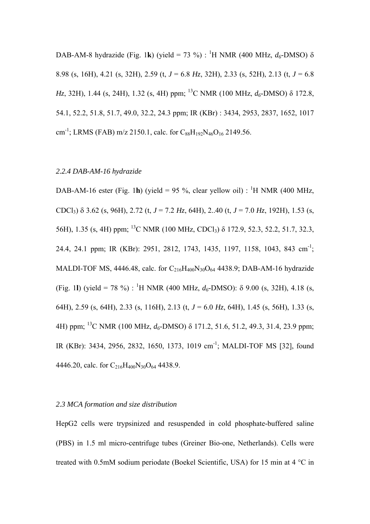DAB-AM-8 hydrazide (Fig. 1k) (yield = 73 %) : <sup>1</sup>H NMR (400 MHz,  $d_6$ -DMSO)  $\delta$ 8.98 (s, 16H), 4.21 (s, 32H), 2.59 (t, *J* = 6.8 *Hz*, 32H), 2.33 (s, 52H), 2.13 (t, *J* = 6.8 *Hz*, 32H), 1.44 (s, 24H), 1.32 (s, 4H) ppm; 13C NMR (100 MHz, *d6*-DMSO) δ 172.8, 54.1, 52.2, 51.8, 51.7, 49.0, 32.2, 24.3 ppm; IR (KBr) : 3434, 2953, 2837, 1652, 1017 cm<sup>-1</sup>; LRMS (FAB) m/z 2150.1, calc. for C<sub>88</sub>H<sub>192</sub>N<sub>46</sub>O<sub>16</sub> 2149.56.

#### *2.2.4 DAB-AM-16 hydrazide*

DAB-AM-16 ester (Fig. 1**h**) (yield = 95 %, clear yellow oil) : <sup>1</sup>H NMR (400 MHz, CDCl3) δ 3.62 (s, 96H), 2.72 (t, *J* = 7.2 *Hz*, 64H), 2..40 (t, *J* = 7.0 *Hz*, 192H), 1.53 (s, 56H), 1.35 (s, 4H) ppm; 13C NMR (100 MHz, CDCl3) δ 172.9, 52.3, 52.2, 51.7, 32.3, 24.4, 24.1 ppm; IR (KBr): 2951, 2812, 1743, 1435, 1197, 1158, 1043, 843 cm-1; MALDI-TOF MS, 4446.48, calc. for  $C_{216}H_{400}N_{30}O_{64}$  4438.9; DAB-AM-16 hydrazide (Fig. 11) (yield = 78 %) : <sup>1</sup>H NMR (400 MHz,  $d_6$ -DMSO):  $\delta$  9.00 (s, 32H), 4.18 (s, 64H), 2.59 (s, 64H), 2.33 (s, 116H), 2.13 (t, *J* = 6.0 *Hz*, 64H), 1.45 (s, 56H), 1.33 (s, 4H) ppm; 13C NMR (100 MHz, *d6*-DMSO) δ 171.2, 51.6, 51.2, 49.3, 31.4, 23.9 ppm; IR (KBr): 3434, 2956, 2832, 1650, 1373, 1019 cm-1; MALDI-TOF MS [32], found 4446.20, calc. for  $C_{216}H_{400}N_{30}O_{64}$  4438.9.

#### *2.3 MCA formation and size distribution*

HepG2 cells were trypsinized and resuspended in cold phosphate-buffered saline (PBS) in 1.5 ml micro-centrifuge tubes (Greiner Bio-one, Netherlands). Cells were treated with 0.5mM sodium periodate (Boekel Scientific, USA) for 15 min at 4 °C in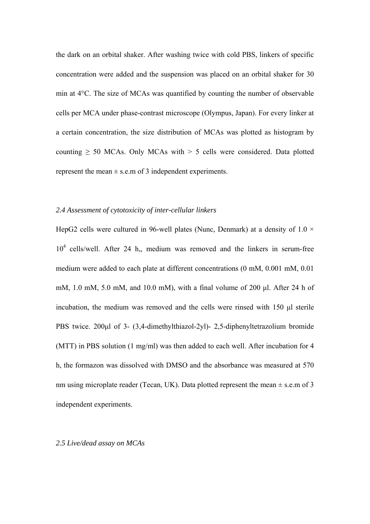the dark on an orbital shaker. After washing twice with cold PBS, linkers of specific concentration were added and the suspension was placed on an orbital shaker for 30 min at 4°C. The size of MCAs was quantified by counting the number of observable cells per MCA under phase-contrast microscope (Olympus, Japan). For every linker at a certain concentration, the size distribution of MCAs was plotted as histogram by counting  $\geq$  50 MCAs. Only MCAs with  $>$  5 cells were considered. Data plotted represent the mean  $\pm$  s.e.m of 3 independent experiments.

#### *2.4 Assessment of cytotoxicity of inter-cellular linkers*

HepG2 cells were cultured in 96-well plates (Nunc, Denmark) at a density of  $1.0 \times$ 104 cells/well. After 24 h,, medium was removed and the linkers in serum-free medium were added to each plate at different concentrations (0 mM, 0.001 mM, 0.01 mM, 1.0 mM, 5.0 mM, and 10.0 mM), with a final volume of 200 μl. After 24 h of incubation, the medium was removed and the cells were rinsed with 150 μl sterile PBS twice. 200μl of 3- (3,4-dimethylthiazol-2yl)- 2,5-diphenyltetrazolium bromide (MTT) in PBS solution (1 mg/ml) was then added to each well. After incubation for 4 h, the formazon was dissolved with DMSO and the absorbance was measured at 570 nm using microplate reader (Tecan, UK). Data plotted represent the mean  $\pm$  s.e.m of 3 independent experiments.

#### *2.5 Live/dead assay on MCAs*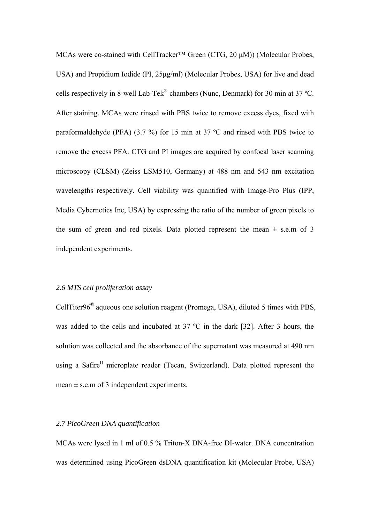MCAs were co-stained with CellTracker™ Green (CTG, 20 μM)) (Molecular Probes, USA) and Propidium Iodide (PI, 25μg/ml) (Molecular Probes, USA) for live and dead cells respectively in 8-well Lab-Tek® chambers (Nunc, Denmark) for 30 min at 37 ºC. After staining, MCAs were rinsed with PBS twice to remove excess dyes, fixed with paraformaldehyde (PFA) (3.7 %) for 15 min at 37 ºC and rinsed with PBS twice to remove the excess PFA. CTG and PI images are acquired by confocal laser scanning microscopy (CLSM) (Zeiss LSM510, Germany) at 488 nm and 543 nm excitation wavelengths respectively. Cell viability was quantified with Image-Pro Plus (IPP, Media Cybernetics Inc, USA) by expressing the ratio of the number of green pixels to the sum of green and red pixels. Data plotted represent the mean  $\pm$  s.e.m of 3 independent experiments.

#### *2.6 MTS cell proliferation assay*

CellTiter96® aqueous one solution reagent (Promega, USA), diluted 5 times with PBS, was added to the cells and incubated at 37 ºC in the dark [32]. After 3 hours, the solution was collected and the absorbance of the supernatant was measured at 490 nm using a Safire<sup>II</sup> microplate reader (Tecan, Switzerland). Data plotted represent the mean  $\pm$  s.e.m of 3 independent experiments.

#### *2.7 PicoGreen DNA quantification*

MCAs were lysed in 1 ml of 0.5 % Triton-X DNA-free DI-water. DNA concentration was determined using PicoGreen dsDNA quantification kit (Molecular Probe, USA)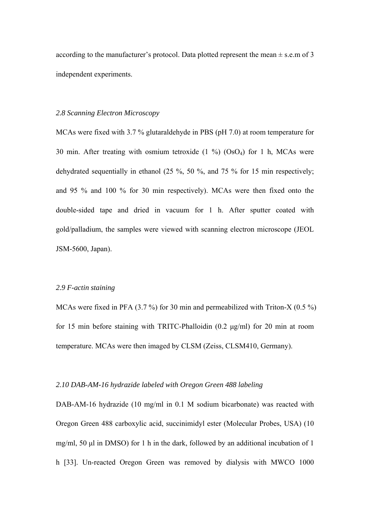according to the manufacturer's protocol. Data plotted represent the mean  $\pm$  s.e.m of 3 independent experiments.

#### *2.8 Scanning Electron Microscopy*

MCAs were fixed with 3.7 % glutaraldehyde in PBS (pH 7.0) at room temperature for 30 min. After treating with osmium tetroxide  $(1\%)$   $(OsO<sub>4</sub>)$  for 1 h, MCAs were dehydrated sequentially in ethanol (25 %, 50 %, and 75 % for 15 min respectively; and 95 % and 100 % for 30 min respectively). MCAs were then fixed onto the double-sided tape and dried in vacuum for 1 h. After sputter coated with gold/palladium, the samples were viewed with scanning electron microscope (JEOL JSM-5600, Japan).

#### *2.9 F-actin staining*

MCAs were fixed in PFA (3.7 %) for 30 min and permeabilized with Triton-X (0.5 %) for 15 min before staining with TRITC-Phalloidin (0.2 μg/ml) for 20 min at room temperature. MCAs were then imaged by CLSM (Zeiss, CLSM410, Germany).

### *2.10 DAB-AM-16 hydrazide labeled with Oregon Green 488 labeling*

DAB-AM-16 hydrazide (10 mg/ml in 0.1 M sodium bicarbonate) was reacted with Oregon Green 488 carboxylic acid, succinimidyl ester (Molecular Probes, USA) (10 mg/ml, 50 μl in DMSO) for 1 h in the dark, followed by an additional incubation of 1 h [33]. Un-reacted Oregon Green was removed by dialysis with MWCO 1000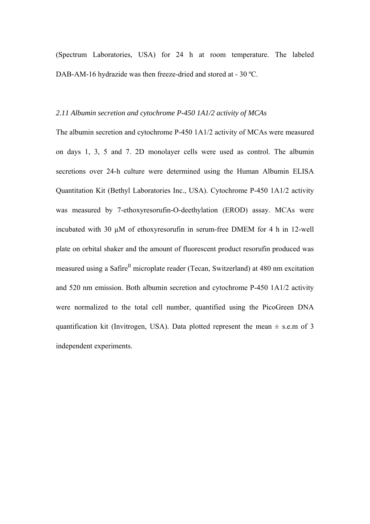(Spectrum Laboratories, USA) for 24 h at room temperature. The labeled DAB-AM-16 hydrazide was then freeze-dried and stored at - 30 °C.

#### *2.11 Albumin secretion and cytochrome P-450 1A1/2 activity of MCAs*

The albumin secretion and cytochrome P-450 1A1/2 activity of MCAs were measured on days 1, 3, 5 and 7. 2D monolayer cells were used as control. The albumin secretions over 24-h culture were determined using the Human Albumin ELISA Quantitation Kit (Bethyl Laboratories Inc., USA). Cytochrome P-450 1A1/2 activity was measured by 7-ethoxyresorufin-O-deethylation (EROD) assay. MCAs were incubated with 30 µM of ethoxyresorufin in serum-free DMEM for 4 h in 12-well plate on orbital shaker and the amount of fluorescent product resorufin produced was measured using a Safire<sup>II</sup> microplate reader (Tecan, Switzerland) at 480 nm excitation and 520 nm emission. Both albumin secretion and cytochrome P-450 1A1/2 activity were normalized to the total cell number, quantified using the PicoGreen DNA quantification kit (Invitrogen, USA). Data plotted represent the mean  $\pm$  s.e.m of 3 independent experiments.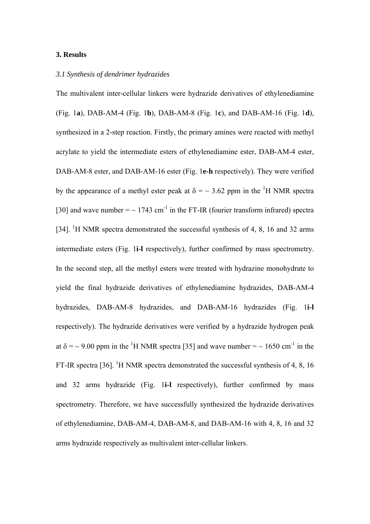#### **3. Results**

#### *3.1 Synthesis of dendrimer hydrazides*

The multivalent inter-cellular linkers were hydrazide derivatives of ethylenediamine (Fig. 1**a**), DAB-AM-4 (Fig. 1**b**), DAB-AM-8 (Fig. 1**c**), and DAB-AM-16 (Fig. 1**d**), synthesized in a 2-step reaction. Firstly, the primary amines were reacted with methyl acrylate to yield the intermediate esters of ethylenediamine ester, DAB-AM-4 ester, DAB-AM-8 ester, and DAB-AM-16 ester (Fig. 1**e-h** respectively). They were verified by the appearance of a methyl ester peak at  $\delta = \sim 3.62$  ppm in the <sup>1</sup>H NMR spectra [30] and wave number  $=$   $\sim$  1743 cm<sup>-1</sup> in the FT-IR (fourier transform infrared) spectra [34]. <sup>1</sup>H NMR spectra demonstrated the successful synthesis of 4, 8, 16 and 32 arms intermediate esters (Fig. 1**i-l** respectively), further confirmed by mass spectrometry. In the second step, all the methyl esters were treated with hydrazine monohydrate to yield the final hydrazide derivatives of ethylenediamine hydrazides, DAB-AM-4 hydrazides, DAB-AM-8 hydrazides, and DAB-AM-16 hydrazides (Fig. 1**i-l**  respectively). The hydrazide derivatives were verified by a hydrazide hydrogen peak at  $\delta$  =  $\sim$  9.00 ppm in the <sup>1</sup>H NMR spectra [35] and wave number =  $\sim$  1650 cm<sup>-1</sup> in the FT-IR spectra [36]. <sup>1</sup>H NMR spectra demonstrated the successful synthesis of 4, 8, 16 and 32 arms hydrazide (Fig. 1**i-l** respectively), further confirmed by mass spectrometry. Therefore, we have successfully synthesized the hydrazide derivatives of ethylenediamine, DAB-AM-4, DAB-AM-8, and DAB-AM-16 with 4, 8, 16 and 32 arms hydrazide respectively as multivalent inter-cellular linkers.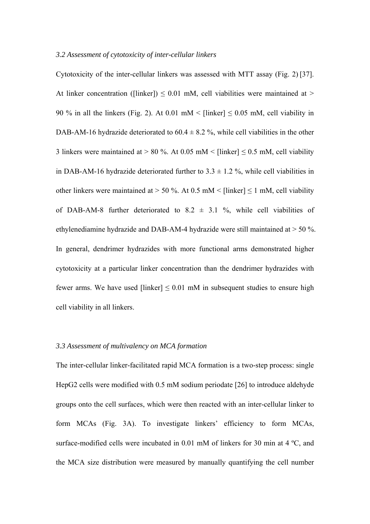#### *3.2 Assessment of cytotoxicity of inter-cellular linkers*

Cytotoxicity of the inter-cellular linkers was assessed with MTT assay (Fig. 2) [37]. At linker concentration ([linker])  $\leq 0.01$  mM, cell viabilities were maintained at > 90 % in all the linkers (Fig. 2). At 0.01 mM < [linker]  $\leq$  0.05 mM, cell viability in DAB-AM-16 hydrazide deteriorated to  $60.4 \pm 8.2$  %, while cell viabilities in the other 3 linkers were maintained at > 80 %. At 0.05 mM < [linker]  $\leq$  0.5 mM, cell viability in DAB-AM-16 hydrazide deteriorated further to  $3.3 \pm 1.2$  %, while cell viabilities in other linkers were maintained at  $> 50$  %. At 0.5 mM < [linker]  $\leq 1$  mM, cell viability of DAB-AM-8 further deteriorated to  $8.2 \pm 3.1$  %, while cell viabilities of ethylenediamine hydrazide and DAB-AM-4 hydrazide were still maintained at > 50 %. In general, dendrimer hydrazides with more functional arms demonstrated higher cytotoxicity at a particular linker concentration than the dendrimer hydrazides with fewer arms. We have used [linker]  $\leq 0.01$  mM in subsequent studies to ensure high cell viability in all linkers.

#### *3.3 Assessment of multivalency on MCA formation*

The inter-cellular linker-facilitated rapid MCA formation is a two-step process: single HepG2 cells were modified with 0.5 mM sodium periodate [26] to introduce aldehyde groups onto the cell surfaces, which were then reacted with an inter-cellular linker to form MCAs (Fig. 3A). To investigate linkers' efficiency to form MCAs, surface-modified cells were incubated in 0.01 mM of linkers for 30 min at 4 ºC, and the MCA size distribution were measured by manually quantifying the cell number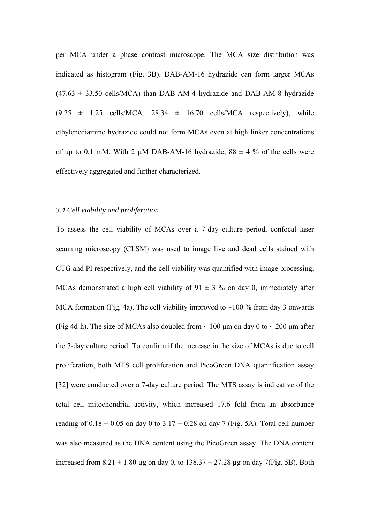per MCA under a phase contrast microscope. The MCA size distribution was indicated as histogram (Fig. 3B). DAB-AM-16 hydrazide can form larger MCAs  $(47.63 \pm 33.50 \text{ cells/MCA})$  than DAB-AM-4 hydrazide and DAB-AM-8 hydrazide  $(9.25 \pm 1.25 \text{ cells/MCA}, 28.34 \pm 16.70 \text{ cells/MCA} \text{ respectively})$ , while ethylenediamine hydrazide could not form MCAs even at high linker concentrations of up to 0.1 mM. With 2  $\mu$ M DAB-AM-16 hydrazide, 88  $\pm$  4 % of the cells were effectively aggregated and further characterized.

#### *3.4 Cell viability and proliferation*

To assess the cell viability of MCAs over a 7-day culture period, confocal laser scanning microscopy (CLSM) was used to image live and dead cells stained with CTG and PI respectively, and the cell viability was quantified with image processing. MCAs demonstrated a high cell viability of  $91 \pm 3$  % on day 0, immediately after MCA formation (Fig. 4a). The cell viability improved to  $\sim$ 100 % from day 3 onwards (Fig 4d-h). The size of MCAs also doubled from  $\sim 100$  µm on day 0 to  $\sim 200$  µm after the 7-day culture period. To confirm if the increase in the size of MCAs is due to cell proliferation, both MTS cell proliferation and PicoGreen DNA quantification assay [32] were conducted over a 7-day culture period. The MTS assay is indicative of the total cell mitochondrial activity, which increased 17.6 fold from an absorbance reading of  $0.18 \pm 0.05$  on day 0 to  $3.17 \pm 0.28$  on day 7 (Fig. 5A). Total cell number was also measured as the DNA content using the PicoGreen assay. The DNA content increased from  $8.21 \pm 1.80$  µg on day 0, to  $138.37 \pm 27.28$  µg on day 7(Fig. 5B). Both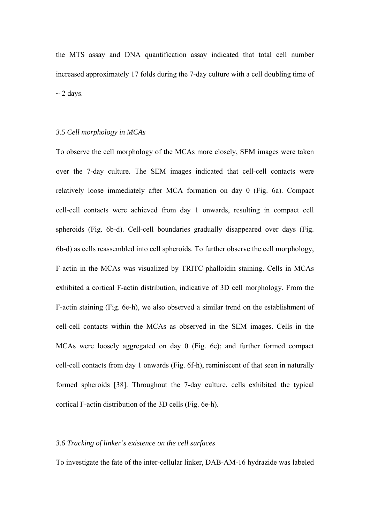the MTS assay and DNA quantification assay indicated that total cell number increased approximately 17 folds during the 7-day culture with a cell doubling time of  $\sim$  2 days.

#### *3.5 Cell morphology in MCAs*

To observe the cell morphology of the MCAs more closely, SEM images were taken over the 7-day culture. The SEM images indicated that cell-cell contacts were relatively loose immediately after MCA formation on day 0 (Fig. 6a). Compact cell-cell contacts were achieved from day 1 onwards, resulting in compact cell spheroids (Fig. 6b-d). Cell-cell boundaries gradually disappeared over days (Fig. 6b-d) as cells reassembled into cell spheroids. To further observe the cell morphology, F-actin in the MCAs was visualized by TRITC-phalloidin staining. Cells in MCAs exhibited a cortical F-actin distribution, indicative of 3D cell morphology. From the F-actin staining (Fig. 6e-h), we also observed a similar trend on the establishment of cell-cell contacts within the MCAs as observed in the SEM images. Cells in the MCAs were loosely aggregated on day 0 (Fig. 6e); and further formed compact cell-cell contacts from day 1 onwards (Fig. 6f-h), reminiscent of that seen in naturally formed spheroids [38]. Throughout the 7-day culture, cells exhibited the typical cortical F-actin distribution of the 3D cells (Fig. 6e-h).

#### *3.6 Tracking of linker's existence on the cell surfaces*

To investigate the fate of the inter-cellular linker, DAB-AM-16 hydrazide was labeled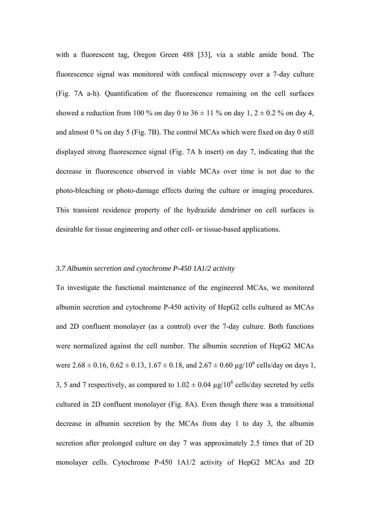with a fluorescent tag, Oregon Green 488 [33], via a stable amide bond. The fluorescence signal was monitored with confocal microscopy over a 7-day culture (Fig. 7A a-h). Quantification of the fluorescence remaining on the cell surfaces showed a reduction from 100 % on day 0 to  $36 \pm 11$  % on day 1,  $2 \pm 0.2$  % on day 4, and almost 0 % on day 5 (Fig. 7B). The control MCAs which were fixed on day 0 still displayed strong fluorescence signal (Fig. 7A h insert) on day 7, indicating that the decrease in fluorescence observed in viable MCAs over time is not due to the photo-bleaching or photo-damage effects during the culture or imaging procedures. This transient residence property of the hydrazide dendrimer on cell surfaces is desirable for tissue engineering and other cell- or tissue-based applications.

### *3.7 Albumin secretion and cytochrome P-450 1A1/2 activity*

To investigate the functional maintenance of the engineered MCAs, we monitored albumin secretion and cytochrome P-450 activity of HepG2 cells cultured as MCAs and 2D confluent monolayer (as a control) over the 7-day culture. Both functions were normalized against the cell number. The albumin secretion of HepG2 MCAs were  $2.68 \pm 0.16$ ,  $0.62 \pm 0.13$ ,  $1.67 \pm 0.18$ , and  $2.67 \pm 0.60$  µg/ $10^6$  cells/day on days 1, 3, 5 and 7 respectively, as compared to  $1.02 \pm 0.04$  µg/10<sup>6</sup> cells/day secreted by cells cultured in 2D confluent monolayer (Fig. 8A). Even though there was a transitional decrease in albumin secretion by the MCAs from day 1 to day 3, the albumin secretion after prolonged culture on day 7 was approximately 2.5 times that of 2D monolayer cells. Cytochrome P-450 1A1/2 activity of HepG2 MCAs and 2D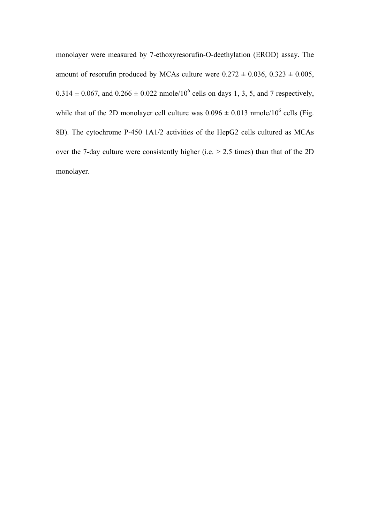monolayer were measured by 7-ethoxyresorufin-O-deethylation (EROD) assay. The amount of resorufin produced by MCAs culture were  $0.272 \pm 0.036, 0.323 \pm 0.005$ ,  $0.314 \pm 0.067$ , and  $0.266 \pm 0.022$  nmole/10<sup>6</sup> cells on days 1, 3, 5, and 7 respectively, while that of the 2D monolayer cell culture was  $0.096 \pm 0.013$  nmole/10<sup>6</sup> cells (Fig. 8B). The cytochrome P-450 1A1/2 activities of the HepG2 cells cultured as MCAs over the 7-day culture were consistently higher (i.e. > 2.5 times) than that of the 2D monolayer.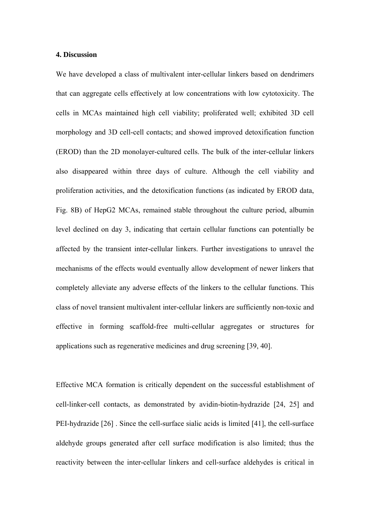#### **4. Discussion**

We have developed a class of multivalent inter-cellular linkers based on dendrimers that can aggregate cells effectively at low concentrations with low cytotoxicity. The cells in MCAs maintained high cell viability; proliferated well; exhibited 3D cell morphology and 3D cell-cell contacts; and showed improved detoxification function (EROD) than the 2D monolayer-cultured cells. The bulk of the inter-cellular linkers also disappeared within three days of culture. Although the cell viability and proliferation activities, and the detoxification functions (as indicated by EROD data, Fig. 8B) of HepG2 MCAs, remained stable throughout the culture period, albumin level declined on day 3, indicating that certain cellular functions can potentially be affected by the transient inter-cellular linkers. Further investigations to unravel the mechanisms of the effects would eventually allow development of newer linkers that completely alleviate any adverse effects of the linkers to the cellular functions. This class of novel transient multivalent inter-cellular linkers are sufficiently non-toxic and effective in forming scaffold-free multi-cellular aggregates or structures for applications such as regenerative medicines and drug screening [39, 40].

Effective MCA formation is critically dependent on the successful establishment of cell-linker-cell contacts, as demonstrated by avidin-biotin-hydrazide [24, 25] and PEI-hydrazide [26] . Since the cell-surface sialic acids is limited [41], the cell-surface aldehyde groups generated after cell surface modification is also limited; thus the reactivity between the inter-cellular linkers and cell-surface aldehydes is critical in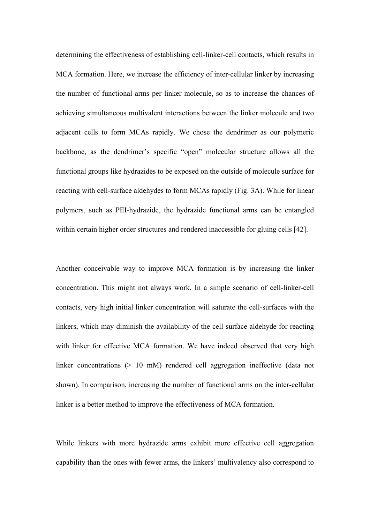determining the effectiveness of establishing cell-linker-cell contacts, which results in MCA formation. Here, we increase the efficiency of inter-cellular linker by increasing the number of functional arms per linker molecule, so as to increase the chances of achieving simultaneous multivalent interactions between the linker molecule and two adjacent cells to form MCAs rapidly. We chose the dendrimer as our polymeric backbone, as the dendrimer's specific "open" molecular structure allows all the functional groups like hydrazides to be exposed on the outside of molecule surface for reacting with cell-surface aldehydes to form MCAs rapidly (Fig. 3A). While for linear polymers, such as PEI-hydrazide, the hydrazide functional arms can be entangled within certain higher order structures and rendered inaccessible for gluing cells [42].

Another conceivable way to improve MCA formation is by increasing the linker concentration. This might not always work. In a simple scenario of cell-linker-cell contacts, very high initial linker concentration will saturate the cell-surfaces with the linkers, which may diminish the availability of the cell-surface aldehyde for reacting with linker for effective MCA formation. We have indeed observed that very high linker concentrations (> 10 mM) rendered cell aggregation ineffective (data not shown). In comparison, increasing the number of functional arms on the inter-cellular linker is a better method to improve the effectiveness of MCA formation.

While linkers with more hydrazide arms exhibit more effective cell aggregation capability than the ones with fewer arms, the linkers' multivalency also correspond to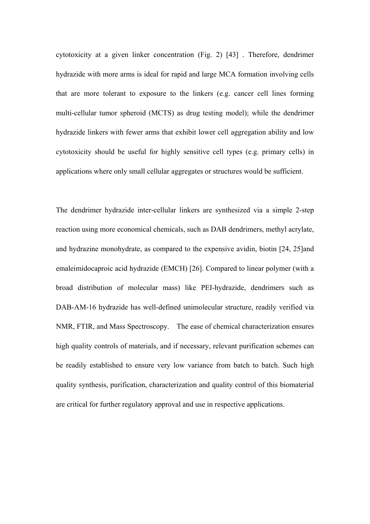cytotoxicity at a given linker concentration (Fig. 2) [43] . Therefore, dendrimer hydrazide with more arms is ideal for rapid and large MCA formation involving cells that are more tolerant to exposure to the linkers (e.g. cancer cell lines forming multi-cellular tumor spheroid (MCTS) as drug testing model); while the dendrimer hydrazide linkers with fewer arms that exhibit lower cell aggregation ability and low cytotoxicity should be useful for highly sensitive cell types (e.g. primary cells) in applications where only small cellular aggregates or structures would be sufficient.

The dendrimer hydrazide inter-cellular linkers are synthesized via a simple 2-step reaction using more economical chemicals, such as DAB dendrimers, methyl acrylate, and hydrazine monohydrate, as compared to the expensive avidin, biotin [24, 25]and emaleimidocaproic acid hydrazide (EMCH) [26]. Compared to linear polymer (with a broad distribution of molecular mass) like PEI-hydrazide, dendrimers such as DAB-AM-16 hydrazide has well-defined unimolecular structure, readily verified via NMR, FTIR, and Mass Spectroscopy. The ease of chemical characterization ensures high quality controls of materials, and if necessary, relevant purification schemes can be readily established to ensure very low variance from batch to batch. Such high quality synthesis, purification, characterization and quality control of this biomaterial are critical for further regulatory approval and use in respective applications.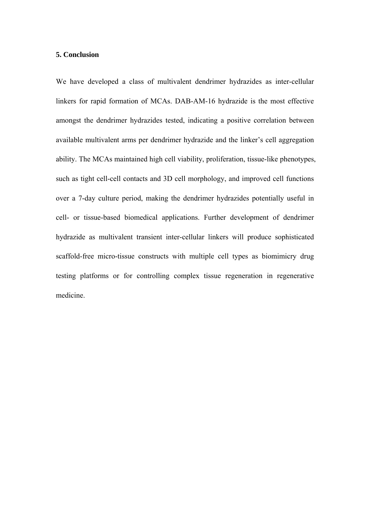#### **5. Conclusion**

We have developed a class of multivalent dendrimer hydrazides as inter-cellular linkers for rapid formation of MCAs. DAB-AM-16 hydrazide is the most effective amongst the dendrimer hydrazides tested, indicating a positive correlation between available multivalent arms per dendrimer hydrazide and the linker's cell aggregation ability. The MCAs maintained high cell viability, proliferation, tissue-like phenotypes, such as tight cell-cell contacts and 3D cell morphology, and improved cell functions over a 7-day culture period, making the dendrimer hydrazides potentially useful in cell- or tissue-based biomedical applications. Further development of dendrimer hydrazide as multivalent transient inter-cellular linkers will produce sophisticated scaffold-free micro-tissue constructs with multiple cell types as biomimicry drug testing platforms or for controlling complex tissue regeneration in regenerative medicine.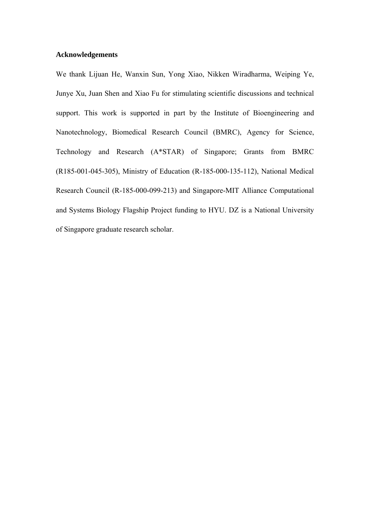#### **Acknowledgements**

We thank Lijuan He, Wanxin Sun, Yong Xiao, Nikken Wiradharma, Weiping Ye, Junye Xu, Juan Shen and Xiao Fu for stimulating scientific discussions and technical support. This work is supported in part by the Institute of Bioengineering and Nanotechnology, Biomedical Research Council (BMRC), Agency for Science, Technology and Research (A\*STAR) of Singapore; Grants from BMRC (R185-001-045-305), Ministry of Education (R-185-000-135-112), National Medical Research Council (R-185-000-099-213) and Singapore-MIT Alliance Computational and Systems Biology Flagship Project funding to HYU. DZ is a National University of Singapore graduate research scholar.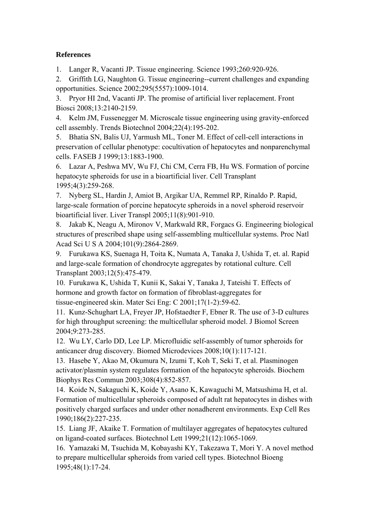# **References**

1. Langer R, Vacanti JP. Tissue engineering. Science 1993;260:920-926.

2. [Griffith LG,](http://www.ncbi.nlm.nih.gov.libproxy1.nus.edu.sg/sites/entrez?Db=pubmed&Cmd=Search&Term=%22Griffith%20LG%22%5BAuthor%5D&itool=EntrezSystem2.PEntrez.Pubmed.Pubmed_ResultsPanel.Pubmed_DiscoveryPanel.Pubmed_RVAbstractPlus) [Naughton G.](http://www.ncbi.nlm.nih.gov.libproxy1.nus.edu.sg/sites/entrez?Db=pubmed&Cmd=Search&Term=%22Naughton%20G%22%5BAuthor%5D&itool=EntrezSystem2.PEntrez.Pubmed.Pubmed_ResultsPanel.Pubmed_DiscoveryPanel.Pubmed_RVAbstractPlus) Tissue engineering--current challenges and expanding opportunities. Science 2002;295(5557):1009-1014.

3. [Pryor HI 2nd](http://www.ncbi.nlm.nih.gov.libproxy1.nus.edu.sg/sites/entrez?Db=pubmed&Cmd=Search&Term=%22Pryor%20HI%202nd%22%5BAuthor%5D&itool=EntrezSystem2.PEntrez.Pubmed.Pubmed_ResultsPanel.Pubmed_DiscoveryPanel.Pubmed_RVAbstractPlus), [Vacanti JP.](http://www.ncbi.nlm.nih.gov.libproxy1.nus.edu.sg/sites/entrez?Db=pubmed&Cmd=Search&Term=%22Vacanti%20JP%22%5BAuthor%5D&itool=EntrezSystem2.PEntrez.Pubmed.Pubmed_ResultsPanel.Pubmed_DiscoveryPanel.Pubmed_RVAbstractPlus) The promise of artificial liver replacement. Front Biosci 2008;13:2140-2159.

4. [Kelm JM,](http://www.ncbi.nlm.nih.gov.libproxy1.nus.edu.sg/sites/entrez?Db=pubmed&Cmd=Search&Term=%22Kelm%20JM%22%5BAuthor%5D&itool=EntrezSystem2.PEntrez.Pubmed.Pubmed_ResultsPanel.Pubmed_DiscoveryPanel.Pubmed_RVAbstractPlus) [Fussenegger M.](http://www.ncbi.nlm.nih.gov.libproxy1.nus.edu.sg/sites/entrez?Db=pubmed&Cmd=Search&Term=%22Fussenegger%20M%22%5BAuthor%5D&itool=EntrezSystem2.PEntrez.Pubmed.Pubmed_ResultsPanel.Pubmed_DiscoveryPanel.Pubmed_RVAbstractPlus) Microscale tissue engineering using gravity-enforced cell assembly. Trends Biotechnol 2004;22(4):195-202.

5. [Bhatia SN,](http://www.ncbi.nlm.nih.gov.libproxy1.nus.edu.sg/sites/entrez?Db=pubmed&Cmd=Search&Term=%22Bhatia%20SN%22%5BAuthor%5D&itool=EntrezSystem2.PEntrez.Pubmed.Pubmed_ResultsPanel.Pubmed_DiscoveryPanel.Pubmed_RVAbstractPlus) [Balis UJ,](http://www.ncbi.nlm.nih.gov.libproxy1.nus.edu.sg/sites/entrez?Db=pubmed&Cmd=Search&Term=%22Balis%20UJ%22%5BAuthor%5D&itool=EntrezSystem2.PEntrez.Pubmed.Pubmed_ResultsPanel.Pubmed_DiscoveryPanel.Pubmed_RVAbstractPlus) [Yarmush ML,](http://www.ncbi.nlm.nih.gov.libproxy1.nus.edu.sg/sites/entrez?Db=pubmed&Cmd=Search&Term=%22Yarmush%20ML%22%5BAuthor%5D&itool=EntrezSystem2.PEntrez.Pubmed.Pubmed_ResultsPanel.Pubmed_DiscoveryPanel.Pubmed_RVAbstractPlus) [Toner M](http://www.ncbi.nlm.nih.gov.libproxy1.nus.edu.sg/sites/entrez?Db=pubmed&Cmd=Search&Term=%22Toner%20M%22%5BAuthor%5D&itool=EntrezSystem2.PEntrez.Pubmed.Pubmed_ResultsPanel.Pubmed_DiscoveryPanel.Pubmed_RVAbstractPlus). Effect of cell-cell interactions in preservation of cellular phenotype: cocultivation of hepatocytes and nonparenchymal cells. FASEB J 1999;13:1883-1900.

6. [Lazar A, Peshwa MV, Wu FJ, Chi CM, Cerra FB, Hu WS.](http://www.ncbi.nlm.nih.gov.libproxy1.nus.edu.sg/pubmed/7640865?ordinalpos=11&itool=EntrezSystem2.PEntrez.Pubmed.Pubmed_ResultsPanel.Pubmed_RVDocSum) Formation of porcine hepatocyte spheroids for use in a bioartificial liver. Cell Transplant 1995;4(3):259-268.

7. [Nyberg SL,](http://www.ncbi.nlm.nih.gov.libproxy1.nus.edu.sg/sites/entrez?Db=pubmed&Cmd=Search&Term=%22Nyberg%20SL%22%5BAuthor%5D&itool=EntrezSystem2.PEntrez.Pubmed.Pubmed_ResultsPanel.Pubmed_DiscoveryPanel.Pubmed_RVAbstractPlus) [Hardin J,](http://www.ncbi.nlm.nih.gov.libproxy1.nus.edu.sg/sites/entrez?Db=pubmed&Cmd=Search&Term=%22Hardin%20J%22%5BAuthor%5D&itool=EntrezSystem2.PEntrez.Pubmed.Pubmed_ResultsPanel.Pubmed_DiscoveryPanel.Pubmed_RVAbstractPlus) [Amiot B,](http://www.ncbi.nlm.nih.gov.libproxy1.nus.edu.sg/sites/entrez?Db=pubmed&Cmd=Search&Term=%22Amiot%20B%22%5BAuthor%5D&itool=EntrezSystem2.PEntrez.Pubmed.Pubmed_ResultsPanel.Pubmed_DiscoveryPanel.Pubmed_RVAbstractPlus) [Argikar UA](http://www.ncbi.nlm.nih.gov.libproxy1.nus.edu.sg/sites/entrez?Db=pubmed&Cmd=Search&Term=%22Argikar%20UA%22%5BAuthor%5D&itool=EntrezSystem2.PEntrez.Pubmed.Pubmed_ResultsPanel.Pubmed_DiscoveryPanel.Pubmed_RVAbstractPlus), [Remmel RP,](http://www.ncbi.nlm.nih.gov.libproxy1.nus.edu.sg/sites/entrez?Db=pubmed&Cmd=Search&Term=%22Remmel%20RP%22%5BAuthor%5D&itool=EntrezSystem2.PEntrez.Pubmed.Pubmed_ResultsPanel.Pubmed_DiscoveryPanel.Pubmed_RVAbstractPlus) [Rinaldo P](http://www.ncbi.nlm.nih.gov.libproxy1.nus.edu.sg/sites/entrez?Db=pubmed&Cmd=Search&Term=%22Rinaldo%20P%22%5BAuthor%5D&itool=EntrezSystem2.PEntrez.Pubmed.Pubmed_ResultsPanel.Pubmed_DiscoveryPanel.Pubmed_RVAbstractPlus). Rapid, large-scale formation of porcine hepatocyte spheroids in a novel spheroid reservoir bioartificial liver. Liver Transpl 2005;11(8):901-910.

8. [Jakab K](http://www.ncbi.nlm.nih.gov.libproxy1.nus.edu.sg/sites/entrez?Db=pubmed&Cmd=Search&Term=%22Jakab%20K%22%5BAuthor%5D&itool=EntrezSystem2.PEntrez.Pubmed.Pubmed_ResultsPanel.Pubmed_DiscoveryPanel.Pubmed_RVAbstractPlus), [Neagu A,](http://www.ncbi.nlm.nih.gov.libproxy1.nus.edu.sg/sites/entrez?Db=pubmed&Cmd=Search&Term=%22Neagu%20A%22%5BAuthor%5D&itool=EntrezSystem2.PEntrez.Pubmed.Pubmed_ResultsPanel.Pubmed_DiscoveryPanel.Pubmed_RVAbstractPlus) [Mironov V,](http://www.ncbi.nlm.nih.gov.libproxy1.nus.edu.sg/sites/entrez?Db=pubmed&Cmd=Search&Term=%22Mironov%20V%22%5BAuthor%5D&itool=EntrezSystem2.PEntrez.Pubmed.Pubmed_ResultsPanel.Pubmed_DiscoveryPanel.Pubmed_RVAbstractPlus) [Markwald RR,](http://www.ncbi.nlm.nih.gov.libproxy1.nus.edu.sg/sites/entrez?Db=pubmed&Cmd=Search&Term=%22Markwald%20RR%22%5BAuthor%5D&itool=EntrezSystem2.PEntrez.Pubmed.Pubmed_ResultsPanel.Pubmed_DiscoveryPanel.Pubmed_RVAbstractPlus) [Forgacs G.](http://www.ncbi.nlm.nih.gov.libproxy1.nus.edu.sg/sites/entrez?Db=pubmed&Cmd=Search&Term=%22Forgacs%20G%22%5BAuthor%5D&itool=EntrezSystem2.PEntrez.Pubmed.Pubmed_ResultsPanel.Pubmed_DiscoveryPanel.Pubmed_RVAbstractPlus) Engineering biological structures of prescribed shape using self-assembling multicellular systems. Proc Natl Acad Sci U S A 2004;101(9):2864-2869.

9. [Furukawa KS](http://www.ncbi.nlm.nih.gov.libproxy1.nus.edu.sg/sites/entrez?Db=pubmed&Cmd=Search&Term=%22Furukawa%20KS%22%5BAuthor%5D&itool=EntrezSystem2.PEntrez.Pubmed.Pubmed_ResultsPanel.Pubmed_DiscoveryPanel.Pubmed_RVAbstractPlus), [Suenaga H,](http://www.ncbi.nlm.nih.gov.libproxy1.nus.edu.sg/sites/entrez?Db=pubmed&Cmd=Search&Term=%22Suenaga%20H%22%5BAuthor%5D&itool=EntrezSystem2.PEntrez.Pubmed.Pubmed_ResultsPanel.Pubmed_DiscoveryPanel.Pubmed_RVAbstractPlus) [Toita K,](http://www.ncbi.nlm.nih.gov.libproxy1.nus.edu.sg/sites/entrez?Db=pubmed&Cmd=Search&Term=%22Toita%20K%22%5BAuthor%5D&itool=EntrezSystem2.PEntrez.Pubmed.Pubmed_ResultsPanel.Pubmed_DiscoveryPanel.Pubmed_RVAbstractPlus) [Numata A](http://www.ncbi.nlm.nih.gov.libproxy1.nus.edu.sg/sites/entrez?Db=pubmed&Cmd=Search&Term=%22Numata%20A%22%5BAuthor%5D&itool=EntrezSystem2.PEntrez.Pubmed.Pubmed_ResultsPanel.Pubmed_DiscoveryPanel.Pubmed_RVAbstractPlus), [Tanaka J](http://www.ncbi.nlm.nih.gov.libproxy1.nus.edu.sg/sites/entrez?Db=pubmed&Cmd=Search&Term=%22Tanaka%20J%22%5BAuthor%5D&itool=EntrezSystem2.PEntrez.Pubmed.Pubmed_ResultsPanel.Pubmed_DiscoveryPanel.Pubmed_RVAbstractPlus), [Ushida T,](http://www.ncbi.nlm.nih.gov.libproxy1.nus.edu.sg/sites/entrez?Db=pubmed&Cmd=Search&Term=%22Ushida%20T%22%5BAuthor%5D&itool=EntrezSystem2.PEntrez.Pubmed.Pubmed_ResultsPanel.Pubmed_DiscoveryPanel.Pubmed_RVAbstractPlus) et. al. Rapid and large-scale formation of chondrocyte aggregates by rotational culture. Cell Transplant 2003;12(5):475-479.

10. Furukawa K, Ushida T, Kunii K, Sakai Y, Tanaka J, Tateishi T. Effects of hormone and growth factor on formation of fibroblast-aggregates for tissue-engineered skin. Mater Sci Eng: C 2001;17(1-2):59-62.

11. [Kunz-Schughart LA,](http://www.ncbi.nlm.nih.gov.libproxy1.nus.edu.sg/sites/entrez?Db=pubmed&Cmd=Search&Term=%22Kunz-Schughart%20LA%22%5BAuthor%5D&itool=EntrezSystem2.PEntrez.Pubmed.Pubmed_ResultsPanel.Pubmed_DiscoveryPanel.Pubmed_RVAbstractPlus) [Freyer JP](http://www.ncbi.nlm.nih.gov.libproxy1.nus.edu.sg/sites/entrez?Db=pubmed&Cmd=Search&Term=%22Freyer%20JP%22%5BAuthor%5D&itool=EntrezSystem2.PEntrez.Pubmed.Pubmed_ResultsPanel.Pubmed_DiscoveryPanel.Pubmed_RVAbstractPlus), [Hofstaedter F,](http://www.ncbi.nlm.nih.gov.libproxy1.nus.edu.sg/sites/entrez?Db=pubmed&Cmd=Search&Term=%22Hofstaedter%20F%22%5BAuthor%5D&itool=EntrezSystem2.PEntrez.Pubmed.Pubmed_ResultsPanel.Pubmed_DiscoveryPanel.Pubmed_RVAbstractPlus) [Ebner R.](http://www.ncbi.nlm.nih.gov.libproxy1.nus.edu.sg/sites/entrez?Db=pubmed&Cmd=Search&Term=%22Ebner%20R%22%5BAuthor%5D&itool=EntrezSystem2.PEntrez.Pubmed.Pubmed_ResultsPanel.Pubmed_DiscoveryPanel.Pubmed_RVAbstractPlus) The use of 3-D cultures for high throughput screening: the multicellular spheroid model. J Biomol Screen 2004;9:273-285.

12. Wu LY, Carlo DD, Lee LP. Microfluidic self-assembly of tumor spheroids for anticancer drug discovery. Biomed Microdevices 2008;10(1):117-121.

13. [Hasebe Y,](http://www.ncbi.nlm.nih.gov.libproxy1.nus.edu.sg/sites/entrez?Db=pubmed&Cmd=Search&Term=%22Hasebe%20Y%22%5BAuthor%5D&itool=EntrezSystem2.PEntrez.Pubmed.Pubmed_ResultsPanel.Pubmed_DiscoveryPanel.Pubmed_RVAbstractPlus) [Akao M,](http://www.ncbi.nlm.nih.gov.libproxy1.nus.edu.sg/sites/entrez?Db=pubmed&Cmd=Search&Term=%22Akao%20M%22%5BAuthor%5D&itool=EntrezSystem2.PEntrez.Pubmed.Pubmed_ResultsPanel.Pubmed_DiscoveryPanel.Pubmed_RVAbstractPlus) [Okumura N,](http://www.ncbi.nlm.nih.gov.libproxy1.nus.edu.sg/sites/entrez?Db=pubmed&Cmd=Search&Term=%22Okumura%20N%22%5BAuthor%5D&itool=EntrezSystem2.PEntrez.Pubmed.Pubmed_ResultsPanel.Pubmed_DiscoveryPanel.Pubmed_RVAbstractPlus) [Izumi T,](http://www.ncbi.nlm.nih.gov.libproxy1.nus.edu.sg/sites/entrez?Db=pubmed&Cmd=Search&Term=%22Izumi%20T%22%5BAuthor%5D&itool=EntrezSystem2.PEntrez.Pubmed.Pubmed_ResultsPanel.Pubmed_DiscoveryPanel.Pubmed_RVAbstractPlus) [Koh T,](http://www.ncbi.nlm.nih.gov.libproxy1.nus.edu.sg/sites/entrez?Db=pubmed&Cmd=Search&Term=%22Koh%20T%22%5BAuthor%5D&itool=EntrezSystem2.PEntrez.Pubmed.Pubmed_ResultsPanel.Pubmed_DiscoveryPanel.Pubmed_RVAbstractPlus) [Seki T,](http://www.ncbi.nlm.nih.gov.libproxy1.nus.edu.sg/sites/entrez?Db=pubmed&Cmd=Search&Term=%22Seki%20T%22%5BAuthor%5D&itool=EntrezSystem2.PEntrez.Pubmed.Pubmed_ResultsPanel.Pubmed_DiscoveryPanel.Pubmed_RVAbstractPlus) [et](http://www.ncbi.nlm.nih.gov.libproxy1.nus.edu.sg/sites/entrez?Db=pubmed&Cmd=Search&Term=%22Ariga%20T%22%5BAuthor%5D&itool=EntrezSystem2.PEntrez.Pubmed.Pubmed_ResultsPanel.Pubmed_DiscoveryPanel.Pubmed_RVAbstractPlus) al. Plasminogen activator/plasmin system regulates formation of the hepatocyte spheroids. Biochem Biophys Res Commun 2003;308(4):852-857.

14. [Koide N,](http://www.ncbi.nlm.nih.gov.libproxy1.nus.edu.sg/sites/entrez?Db=pubmed&Cmd=Search&Term=%22Koide%20N%22%5BAuthor%5D&itool=EntrezSystem2.PEntrez.Pubmed.Pubmed_ResultsPanel.Pubmed_DiscoveryPanel.Pubmed_RVAbstractPlus) [Sakaguchi K,](http://www.ncbi.nlm.nih.gov.libproxy1.nus.edu.sg/sites/entrez?Db=pubmed&Cmd=Search&Term=%22Sakaguchi%20K%22%5BAuthor%5D&itool=EntrezSystem2.PEntrez.Pubmed.Pubmed_ResultsPanel.Pubmed_DiscoveryPanel.Pubmed_RVAbstractPlus) [Koide Y,](http://www.ncbi.nlm.nih.gov.libproxy1.nus.edu.sg/sites/entrez?Db=pubmed&Cmd=Search&Term=%22Koide%20Y%22%5BAuthor%5D&itool=EntrezSystem2.PEntrez.Pubmed.Pubmed_ResultsPanel.Pubmed_DiscoveryPanel.Pubmed_RVAbstractPlus) [Asano K,](http://www.ncbi.nlm.nih.gov.libproxy1.nus.edu.sg/sites/entrez?Db=pubmed&Cmd=Search&Term=%22Asano%20K%22%5BAuthor%5D&itool=EntrezSystem2.PEntrez.Pubmed.Pubmed_ResultsPanel.Pubmed_DiscoveryPanel.Pubmed_RVAbstractPlus) [Kawaguchi M](http://www.ncbi.nlm.nih.gov.libproxy1.nus.edu.sg/sites/entrez?Db=pubmed&Cmd=Search&Term=%22Kawaguchi%20M%22%5BAuthor%5D&itool=EntrezSystem2.PEntrez.Pubmed.Pubmed_ResultsPanel.Pubmed_DiscoveryPanel.Pubmed_RVAbstractPlus), [Matsushima H,](http://www.ncbi.nlm.nih.gov.libproxy1.nus.edu.sg/sites/entrez?Db=pubmed&Cmd=Search&Term=%22Matsushima%20H%22%5BAuthor%5D&itool=EntrezSystem2.PEntrez.Pubmed.Pubmed_ResultsPanel.Pubmed_DiscoveryPanel.Pubmed_RVAbstractPlus) et al. Formation of multicellular spheroids composed of adult rat hepatocytes in dishes with positively charged surfaces and under other nonadherent environments. Exp Cell Res 1990;186(2):227-235.

15. Liang JF, Akaike T. Formation of multilayer aggregates of hepatocytes cultured on ligand-coated surfaces. Biotechnol Lett 1999;21(12):1065-1069.

16. Yamazaki M, Tsuchida M, Kobayashi KY, Takezawa T, Mori Y. A novel method to prepare multicellular spheroids from varied cell types. Biotechnol Bioeng 1995;48(1):17-24.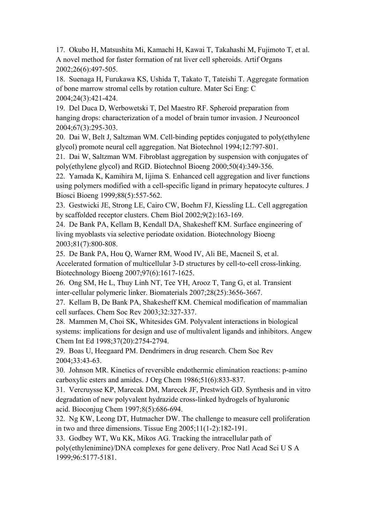17. Okubo H, Matsushita Mi, Kamachi H, Kawai T, Takahashi M, Fujimoto T, et al. A novel method for faster formation of rat liver cell spheroids. Artif Organs 2002;26(6):497-505.

18. Suenaga H, Furukawa KS, Ushida T, Takato T, Tateishi T. Aggregate formation of bone marrow stromal cells by rotation culture. Mater Sci Eng: C 2004;24(3):421-424.

19. [Del Duca D](http://www.ncbi.nlm.nih.gov.libproxy1.nus.edu.sg/sites/entrez?Db=pubmed&Cmd=Search&Term=%22Del%20Duca%20D%22%5BAuthor%5D&itool=EntrezSystem2.PEntrez.Pubmed.Pubmed_ResultsPanel.Pubmed_DiscoveryPanel.Pubmed_RVAbstractPlus), [Werbowetski T,](http://www.ncbi.nlm.nih.gov.libproxy1.nus.edu.sg/sites/entrez?Db=pubmed&Cmd=Search&Term=%22Werbowetski%20T%22%5BAuthor%5D&itool=EntrezSystem2.PEntrez.Pubmed.Pubmed_ResultsPanel.Pubmed_DiscoveryPanel.Pubmed_RVAbstractPlus) [Del Maestro RF.](http://www.ncbi.nlm.nih.gov.libproxy1.nus.edu.sg/sites/entrez?Db=pubmed&Cmd=Search&Term=%22Del%20Maestro%20RF%22%5BAuthor%5D&itool=EntrezSystem2.PEntrez.Pubmed.Pubmed_ResultsPanel.Pubmed_DiscoveryPanel.Pubmed_RVAbstractPlus) Spheroid preparation from hanging drops: characterization of a model of brain tumor invasion. J Neurooncol 2004;67(3):295-303.

20. Dai W, Belt J, Saltzman WM. Cell-binding peptides conjugated to poly(ethylene glycol) promote neural cell aggregation. Nat Biotechnol 1994;12:797-801.

21. Dai W, Saltzman WM. Fibroblast aggregation by suspension with conjugates of poly(ethylene glycol) and RGD. Biotechnol Bioeng 2000;50(4):349-356.

22. [Yamada](http://lib.bioinfo.pl/auth:Yamada,K) K, [Kamihira](http://lib.bioinfo.pl/auth:Kamihira,M) M, [Iijima](http://lib.bioinfo.pl/auth:Iijima,S) S. Enhanced cell aggregation and liver functions using polymers modified with a cell-specific ligand in primary hepatocyte cultures. J Biosci Bioeng 1999;88(5):557-562.

23. [Gestwicki JE,](http://www.ncbi.nlm.nih.gov.libproxy1.nus.edu.sg/sites/entrez?Db=pubmed&Cmd=Search&Term=%22Gestwicki%20JE%22%5BAuthor%5D&itool=EntrezSystem2.PEntrez.Pubmed.Pubmed_ResultsPanel.Pubmed_DiscoveryPanel.Pubmed_RVAbstractPlus) [Strong LE](http://www.ncbi.nlm.nih.gov.libproxy1.nus.edu.sg/sites/entrez?Db=pubmed&Cmd=Search&Term=%22Strong%20LE%22%5BAuthor%5D&itool=EntrezSystem2.PEntrez.Pubmed.Pubmed_ResultsPanel.Pubmed_DiscoveryPanel.Pubmed_RVAbstractPlus), [Cairo CW](http://www.ncbi.nlm.nih.gov.libproxy1.nus.edu.sg/sites/entrez?Db=pubmed&Cmd=Search&Term=%22Cairo%20CW%22%5BAuthor%5D&itool=EntrezSystem2.PEntrez.Pubmed.Pubmed_ResultsPanel.Pubmed_DiscoveryPanel.Pubmed_RVAbstractPlus), [Boehm FJ](http://www.ncbi.nlm.nih.gov.libproxy1.nus.edu.sg/sites/entrez?Db=pubmed&Cmd=Search&Term=%22Boehm%20FJ%22%5BAuthor%5D&itool=EntrezSystem2.PEntrez.Pubmed.Pubmed_ResultsPanel.Pubmed_DiscoveryPanel.Pubmed_RVAbstractPlus), [Kiessling LL](http://www.ncbi.nlm.nih.gov.libproxy1.nus.edu.sg/sites/entrez?Db=pubmed&Cmd=Search&Term=%22Kiessling%20LL%22%5BAuthor%5D&itool=EntrezSystem2.PEntrez.Pubmed.Pubmed_ResultsPanel.Pubmed_DiscoveryPanel.Pubmed_RVAbstractPlus). Cell aggregation by scaffolded receptor clusters. Chem Biol 2002;9(2):163-169.

24. [De Bank PA,](http://www.ncbi.nlm.nih.gov.libproxy1.nus.edu.sg/sites/entrez?Db=pubmed&Cmd=Search&Term=%22De%20Bank%20PA%22%5BAuthor%5D&itool=EntrezSystem2.PEntrez.Pubmed.Pubmed_ResultsPanel.Pubmed_DiscoveryPanel.Pubmed_RVAbstractPlus) [Kellam B,](http://www.ncbi.nlm.nih.gov.libproxy1.nus.edu.sg/sites/entrez?Db=pubmed&Cmd=Search&Term=%22Kellam%20B%22%5BAuthor%5D&itool=EntrezSystem2.PEntrez.Pubmed.Pubmed_ResultsPanel.Pubmed_DiscoveryPanel.Pubmed_RVAbstractPlus) [Kendall DA](http://www.ncbi.nlm.nih.gov.libproxy1.nus.edu.sg/sites/entrez?Db=pubmed&Cmd=Search&Term=%22Kendall%20DA%22%5BAuthor%5D&itool=EntrezSystem2.PEntrez.Pubmed.Pubmed_ResultsPanel.Pubmed_DiscoveryPanel.Pubmed_RVAbstractPlus), [Shakesheff KM.](http://www.ncbi.nlm.nih.gov.libproxy1.nus.edu.sg/sites/entrez?Db=pubmed&Cmd=Search&Term=%22Shakesheff%20KM%22%5BAuthor%5D&itool=EntrezSystem2.PEntrez.Pubmed.Pubmed_ResultsPanel.Pubmed_DiscoveryPanel.Pubmed_RVAbstractPlus) Surface engineering of living myoblasts via selective periodate oxidation. Biotechnology Bioeng 2003;81(7):800-808.

25. [De Bank PA,](http://www.ncbi.nlm.nih.gov.libproxy1.nus.edu.sg/sites/entrez?Db=pubmed&Cmd=Search&Term=%22De%20Bank%20PA%22%5BAuthor%5D&itool=EntrezSystem2.PEntrez.Pubmed.Pubmed_ResultsPanel.Pubmed_DiscoveryPanel.Pubmed_RVAbstractPlus) [Hou Q,](http://www.ncbi.nlm.nih.gov.libproxy1.nus.edu.sg/sites/entrez?Db=pubmed&Cmd=Search&Term=%22Hou%20Q%22%5BAuthor%5D&itool=EntrezSystem2.PEntrez.Pubmed.Pubmed_ResultsPanel.Pubmed_DiscoveryPanel.Pubmed_RVAbstractPlus) [Warner RM,](http://www.ncbi.nlm.nih.gov.libproxy1.nus.edu.sg/sites/entrez?Db=pubmed&Cmd=Search&Term=%22Warner%20RM%22%5BAuthor%5D&itool=EntrezSystem2.PEntrez.Pubmed.Pubmed_ResultsPanel.Pubmed_DiscoveryPanel.Pubmed_RVAbstractPlus) [Wood IV,](http://www.ncbi.nlm.nih.gov.libproxy1.nus.edu.sg/sites/entrez?Db=pubmed&Cmd=Search&Term=%22Wood%20IV%22%5BAuthor%5D&itool=EntrezSystem2.PEntrez.Pubmed.Pubmed_ResultsPanel.Pubmed_DiscoveryPanel.Pubmed_RVAbstractPlus) [Ali BE](http://www.ncbi.nlm.nih.gov.libproxy1.nus.edu.sg/sites/entrez?Db=pubmed&Cmd=Search&Term=%22Ali%20BE%22%5BAuthor%5D&itool=EntrezSystem2.PEntrez.Pubmed.Pubmed_ResultsPanel.Pubmed_DiscoveryPanel.Pubmed_RVAbstractPlus), [Macneil S](http://www.ncbi.nlm.nih.gov.libproxy1.nus.edu.sg/sites/entrez?Db=pubmed&Cmd=Search&Term=%22Macneil%20S%22%5BAuthor%5D&itool=EntrezSystem2.PEntrez.Pubmed.Pubmed_ResultsPanel.Pubmed_DiscoveryPanel.Pubmed_RVAbstractPlus), et al. Accelerated formation of multicellular 3-D structures by cell-to-cell cross-linking. Biotechnology Bioeng 2007;97(6):1617-1625.

26. [Ong SM,](http://www.ncbi.nlm.nih.gov.libproxy1.nus.edu.sg/sites/entrez?Db=pubmed&Cmd=Search&Term=%22Ong%20SM%22%5BAuthor%5D&itool=EntrezSystem2.PEntrez.Pubmed.Pubmed_ResultsPanel.Pubmed_DiscoveryPanel.Pubmed_RVAbstractPlus) [He L](http://www.ncbi.nlm.nih.gov.libproxy1.nus.edu.sg/sites/entrez?Db=pubmed&Cmd=Search&Term=%22He%20L%22%5BAuthor%5D&itool=EntrezSystem2.PEntrez.Pubmed.Pubmed_ResultsPanel.Pubmed_DiscoveryPanel.Pubmed_RVAbstractPlus), [Thuy Linh NT](http://www.ncbi.nlm.nih.gov.libproxy1.nus.edu.sg/sites/entrez?Db=pubmed&Cmd=Search&Term=%22Thuy%20Linh%20NT%22%5BAuthor%5D&itool=EntrezSystem2.PEntrez.Pubmed.Pubmed_ResultsPanel.Pubmed_DiscoveryPanel.Pubmed_RVAbstractPlus), [Tee YH,](http://www.ncbi.nlm.nih.gov.libproxy1.nus.edu.sg/sites/entrez?Db=pubmed&Cmd=Search&Term=%22Tee%20YH%22%5BAuthor%5D&itool=EntrezSystem2.PEntrez.Pubmed.Pubmed_ResultsPanel.Pubmed_DiscoveryPanel.Pubmed_RVAbstractPlus) [Arooz T,](http://www.ncbi.nlm.nih.gov.libproxy1.nus.edu.sg/sites/entrez?Db=pubmed&Cmd=Search&Term=%22Arooz%20T%22%5BAuthor%5D&itool=EntrezSystem2.PEntrez.Pubmed.Pubmed_ResultsPanel.Pubmed_DiscoveryPanel.Pubmed_RVAbstractPlus) [Tang G](http://www.ncbi.nlm.nih.gov.libproxy1.nus.edu.sg/sites/entrez?Db=pubmed&Cmd=Search&Term=%22Tang%20G%22%5BAuthor%5D&itool=EntrezSystem2.PEntrez.Pubmed.Pubmed_ResultsPanel.Pubmed_DiscoveryPanel.Pubmed_RVAbstractPlus), et al. Transient inter-cellular polymeric linker. Biomaterials 2007;28(25):3656-3667.

27. [Kellam B, De Bank PA, Shakesheff KM.](http://www.ncbi.nlm.nih.gov.libproxy1.nus.edu.sg/pubmed/14671788?ordinalpos=5&itool=EntrezSystem2.PEntrez.Pubmed.Pubmed_ResultsPanel.Pubmed_RVDocSum) Chemical modification of mammalian cell surfaces. Chem Soc Rev 2003;32:327-337.

28. Mammen M, Choi SK, Whitesides GM. Polyvalent interactions in biological systems: implications for design and use of multivalent ligands and inhibitors. Angew Chem Int Ed 1998;37(20):2754-2794.

29. [Boas U,](http://www.ncbi.nlm.nih.gov/sites/entrez?Db=pubmed&Cmd=Search&Term=%22Boas%20U%22%5BAuthor%5D&itool=EntrezSystem2.PEntrez.Pubmed.Pubmed_ResultsPanel.Pubmed_DiscoveryPanel.Pubmed_RVAbstractPlus) [Heegaard PM.](http://www.ncbi.nlm.nih.gov/sites/entrez?Db=pubmed&Cmd=Search&Term=%22Heegaard%20PM%22%5BAuthor%5D&itool=EntrezSystem2.PEntrez.Pubmed.Pubmed_ResultsPanel.Pubmed_DiscoveryPanel.Pubmed_RVAbstractPlus) Dendrimers in drug research. Chem Soc Rev 2004;33:43-63.

30. Johnson MR. Kinetics of reversible endothermic elimination reactions: p-amino carboxylic esters and amides. J Org Chem 1986;51(6):833-837.

31. [Vercruysse KP](http://www.ncbi.nlm.nih.gov/sites/entrez?Db=pubmed&Cmd=Search&Term=%22Vercruysse%20KP%22%5BAuthor%5D&itool=EntrezSystem2.PEntrez.Pubmed.Pubmed_ResultsPanel.Pubmed_DiscoveryPanel.Pubmed_RVAbstractPlus), [Marecak DM,](http://www.ncbi.nlm.nih.gov/sites/entrez?Db=pubmed&Cmd=Search&Term=%22Marecak%20DM%22%5BAuthor%5D&itool=EntrezSystem2.PEntrez.Pubmed.Pubmed_ResultsPanel.Pubmed_DiscoveryPanel.Pubmed_RVAbstractPlus) [Marecek JF,](http://www.ncbi.nlm.nih.gov/sites/entrez?Db=pubmed&Cmd=Search&Term=%22Marecek%20JF%22%5BAuthor%5D&itool=EntrezSystem2.PEntrez.Pubmed.Pubmed_ResultsPanel.Pubmed_DiscoveryPanel.Pubmed_RVAbstractPlus) [Prestwich GD.](http://www.ncbi.nlm.nih.gov/sites/entrez?Db=pubmed&Cmd=Search&Term=%22Prestwich%20GD%22%5BAuthor%5D&itool=EntrezSystem2.PEntrez.Pubmed.Pubmed_ResultsPanel.Pubmed_DiscoveryPanel.Pubmed_RVAbstractPlus) Synthesis and in vitro degradation of new polyvalent hydrazide cross-linked hydrogels of hyaluronic acid. [Bioconjug Chem](javascript:AL_get(this,%20) 1997;8(5):686-694.

32. [Ng KW,](http://www.ncbi.nlm.nih.gov/sites/entrez?Db=pubmed&Cmd=Search&Term=%22Ng%20KW%22%5BAuthor%5D&itool=EntrezSystem2.PEntrez.Pubmed.Pubmed_ResultsPanel.Pubmed_DiscoveryPanel.Pubmed_RVAbstractPlus) [Leong DT](http://www.ncbi.nlm.nih.gov/sites/entrez?Db=pubmed&Cmd=Search&Term=%22Leong%20DT%22%5BAuthor%5D&itool=EntrezSystem2.PEntrez.Pubmed.Pubmed_ResultsPanel.Pubmed_DiscoveryPanel.Pubmed_RVAbstractPlus), [Hutmacher DW.](http://www.ncbi.nlm.nih.gov/sites/entrez?Db=pubmed&Cmd=Search&Term=%22Hutmacher%20DW%22%5BAuthor%5D&itool=EntrezSystem2.PEntrez.Pubmed.Pubmed_ResultsPanel.Pubmed_DiscoveryPanel.Pubmed_RVAbstractPlus) The challenge to measure cell proliferation in two and three dimensions. Tissue Eng 2005;11(1-2):182-191.

33. [Godbey WT,](http://www.ncbi.nlm.nih.gov/sites/entrez?Db=pubmed&Cmd=Search&Term=%22Godbey%20WT%22%5BAuthor%5D&itool=EntrezSystem2.PEntrez.Pubmed.Pubmed_ResultsPanel.Pubmed_DiscoveryPanel.Pubmed_RVAbstractPlus) [Wu KK](http://www.ncbi.nlm.nih.gov/sites/entrez?Db=pubmed&Cmd=Search&Term=%22Wu%20KK%22%5BAuthor%5D&itool=EntrezSystem2.PEntrez.Pubmed.Pubmed_ResultsPanel.Pubmed_DiscoveryPanel.Pubmed_RVAbstractPlus), [Mikos AG](http://www.ncbi.nlm.nih.gov/sites/entrez?Db=pubmed&Cmd=Search&Term=%22Mikos%20AG%22%5BAuthor%5D&itool=EntrezSystem2.PEntrez.Pubmed.Pubmed_ResultsPanel.Pubmed_DiscoveryPanel.Pubmed_RVAbstractPlus). Tracking the intracellular path of poly(ethylenimine)/DNA complexes for gene delivery. Proc Natl Acad Sci U S A 1999;96:5177-5181.